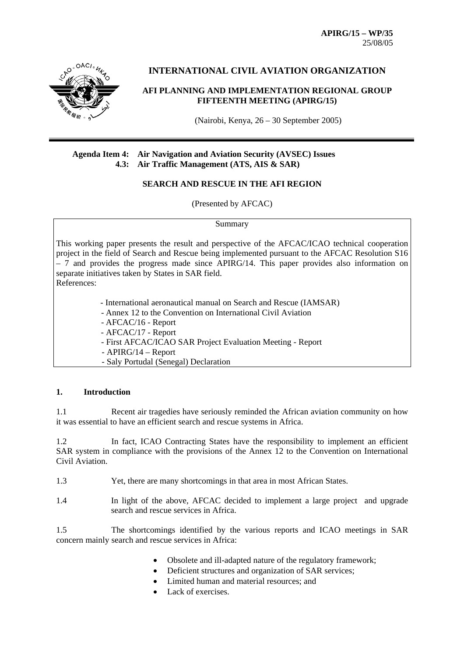**APIRG/15 – WP/35**  25/08/05



# **INTERNATIONAL CIVIL AVIATION ORGANIZATION**

#### **AFI PLANNING AND IMPLEMENTATION REGIONAL GROUP FIFTEENTH MEETING (APIRG/15)**

(Nairobi, Kenya, 26 – 30 September 2005)

#### **Agenda Item 4: Air Navigation and Aviation Security (AVSEC) Issues 4.3: Air Traffic Management (ATS, AIS & SAR)**

## **SEARCH AND RESCUE IN THE AFI REGION**

(Presented by AFCAC)

#### Summary

This working paper presents the result and perspective of the AFCAC/ICAO technical cooperation project in the field of Search and Rescue being implemented pursuant to the AFCAC Resolution S16  $-7$  and provides the progress made since APIRG/14. This paper provides also information on separate initiatives taken by States in SAR field.

References:

- International aeronautical manual on Search and Rescue (IAMSAR)

- Annex 12 to the Convention on International Civil Aviation
- AFCAC/16 Report
- AFCAC/17 Report
- First AFCAC/ICAO SAR Project Evaluation Meeting Report
- APIRG/14 Report
- Saly Portudal (Senegal) Declaration

#### **1. Introduction**

1.1 Recent air tragedies have seriously reminded the African aviation community on how it was essential to have an efficient search and rescue systems in Africa.

1.2 In fact, ICAO Contracting States have the responsibility to implement an efficient SAR system in compliance with the provisions of the Annex 12 to the Convention on International Civil Aviation.

- 1.3 Yet, there are many shortcomings in that area in most African States.
- 1.4 In light of the above, AFCAC decided to implement a large project and upgrade search and rescue services in Africa.

1.5 The shortcomings identified by the various reports and ICAO meetings in SAR concern mainly search and rescue services in Africa:

- Obsolete and ill-adapted nature of the regulatory framework;
- Deficient structures and organization of SAR services;
- Limited human and material resources; and
- Lack of exercises.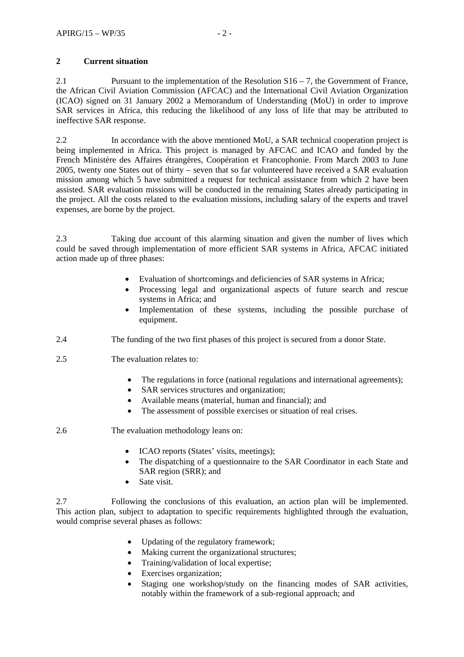# **2 Current situation**

2.1 Pursuant to the implementation of the Resolution  $S16 - 7$ , the Government of France, the African Civil Aviation Commission (AFCAC) and the International Civil Aviation Organization (ICAO) signed on 31 January 2002 a Memorandum of Understanding (MoU) in order to improve SAR services in Africa, this reducing the likelihood of any loss of life that may be attributed to ineffective SAR response.

2.2 In accordance with the above mentioned MoU, a SAR technical cooperation project is being implemented in Africa. This project is managed by AFCAC and ICAO and funded by the French Ministère des Affaires étrangères, Coopération et Francophonie. From March 2003 to June 2005, twenty one States out of thirty – seven that so far volunteered have received a SAR evaluation mission among which 5 have submitted a request for technical assistance from which 2 have been assisted. SAR evaluation missions will be conducted in the remaining States already participating in the project. All the costs related to the evaluation missions, including salary of the experts and travel expenses, are borne by the project.

2.3 Taking due account of this alarming situation and given the number of lives which could be saved through implementation of more efficient SAR systems in Africa, AFCAC initiated action made up of three phases:

- Evaluation of shortcomings and deficiencies of SAR systems in Africa;
- Processing legal and organizational aspects of future search and rescue systems in Africa; and
- Implementation of these systems, including the possible purchase of equipment.
- 2.4 The funding of the two first phases of this project is secured from a donor State.
- 2.5 The evaluation relates to:
	- The regulations in force (national regulations and international agreements);
	- SAR services structures and organization;
	- Available means (material, human and financial); and
	- The assessment of possible exercises or situation of real crises.
- 2.6 The evaluation methodology leans on:
	- ICAO reports (States' visits, meetings);
	- The dispatching of a questionnaire to the SAR Coordinator in each State and SAR region (SRR); and
	- Sate visit.

2.7 Following the conclusions of this evaluation, an action plan will be implemented. This action plan, subject to adaptation to specific requirements highlighted through the evaluation, would comprise several phases as follows:

- Updating of the regulatory framework;
- Making current the organizational structures;
- Training/validation of local expertise;
- Exercises organization;
- Staging one workshop/study on the financing modes of SAR activities, notably within the framework of a sub-regional approach; and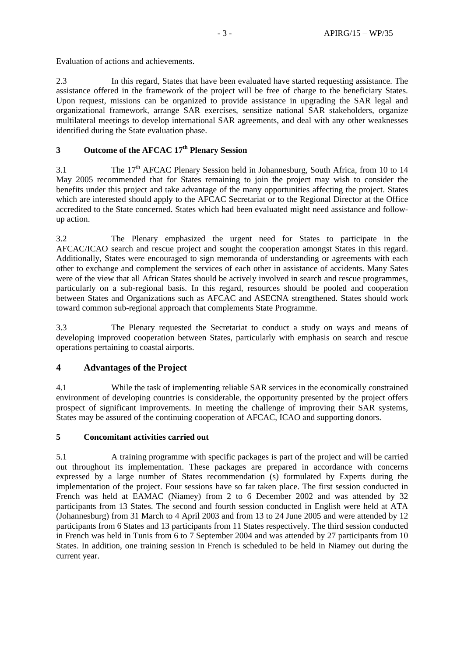Evaluation of actions and achievements.

2.3 In this regard, States that have been evaluated have started requesting assistance. The assistance offered in the framework of the project will be free of charge to the beneficiary States. Upon request, missions can be organized to provide assistance in upgrading the SAR legal and organizational framework, arrange SAR exercises, sensitize national SAR stakeholders, organize multilateral meetings to develop international SAR agreements, and deal with any other weaknesses identified during the State evaluation phase.

# **3 Outcome of the AFCAC 17th Plenary Session**

3.1 The 17th AFCAC Plenary Session held in Johannesburg, South Africa, from 10 to 14 May 2005 recommended that for States remaining to join the project may wish to consider the benefits under this project and take advantage of the many opportunities affecting the project. States which are interested should apply to the AFCAC Secretariat or to the Regional Director at the Office accredited to the State concerned. States which had been evaluated might need assistance and followup action.

3.2 The Plenary emphasized the urgent need for States to participate in the AFCAC/ICAO search and rescue project and sought the cooperation amongst States in this regard. Additionally, States were encouraged to sign memoranda of understanding or agreements with each other to exchange and complement the services of each other in assistance of accidents. Many Sates were of the view that all African States should be actively involved in search and rescue programmes, particularly on a sub-regional basis. In this regard, resources should be pooled and cooperation between States and Organizations such as AFCAC and ASECNA strengthened. States should work toward common sub-regional approach that complements State Programme.

3.3 The Plenary requested the Secretariat to conduct a study on ways and means of developing improved cooperation between States, particularly with emphasis on search and rescue operations pertaining to coastal airports.

# **4 Advantages of the Project**

4.1 While the task of implementing reliable SAR services in the economically constrained environment of developing countries is considerable, the opportunity presented by the project offers prospect of significant improvements. In meeting the challenge of improving their SAR systems, States may be assured of the continuing cooperation of AFCAC, ICAO and supporting donors.

## **5 Concomitant activities carried out**

5.1 A training programme with specific packages is part of the project and will be carried out throughout its implementation. These packages are prepared in accordance with concerns expressed by a large number of States recommendation (s) formulated by Experts during the implementation of the project. Four sessions have so far taken place. The first session conducted in French was held at EAMAC (Niamey) from 2 to 6 December 2002 and was attended by 32 participants from 13 States. The second and fourth session conducted in English were held at ATA (Johannesburg) from 31 March to 4 April 2003 and from 13 to 24 June 2005 and were attended by 12 participants from 6 States and 13 participants from 11 States respectively. The third session conducted in French was held in Tunis from 6 to 7 September 2004 and was attended by 27 participants from 10 States. In addition, one training session in French is scheduled to be held in Niamey out during the current year.